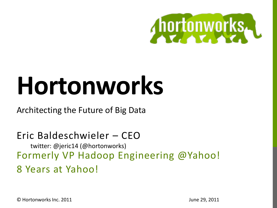

# **Hortonworks**

### Architecting the Future of Big Data

### Eric Baldeschwieler – CEO twitter: @jeric14 (@hortonworks) Formerly VP Hadoop Engineering @Yahoo! 8 Years at Yahoo!

© Hortonworks Inc. 2011

June 29, 2011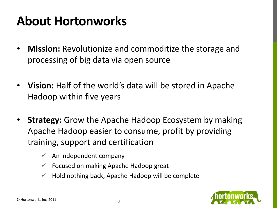## **About Hortonworks**

- **Mission:** Revolutionize and commoditize the storage and processing of big data via open source
- **Vision:** Half of the world's data will be stored in Apache Hadoop within five years
- **Strategy:** Grow the Apache Hadoop Ecosystem by making Apache Hadoop easier to consume, profit by providing training, support and certification
	- $\checkmark$  An independent company
	- $\checkmark$  Focused on making Apache Hadoop great
	- $\checkmark$  Hold nothing back, Apache Hadoop will be complete

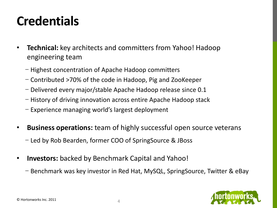### **Credentials**

- **Technical:** key architects and committers from Yahoo! Hadoop engineering team
	- − Highest concentration of Apache Hadoop committers
	- − Contributed >70% of the code in Hadoop, Pig and ZooKeeper
	- − Delivered every major/stable Apache Hadoop release since 0.1
	- − History of driving innovation across entire Apache Hadoop stack
	- − Experience managing world's largest deployment
- **Business operations:** team of highly successful open source veterans
	- − Led by Rob Bearden, former COO of SpringSource & JBoss
- **Investors:** backed by Benchmark Capital and Yahoo!
	- − Benchmark was key investor in Red Hat, MySQL, SpringSource, Twitter & eBay

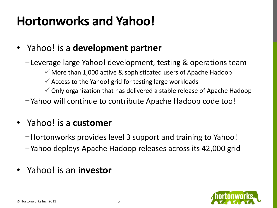## **Hortonworks and Yahoo!**

### • Yahoo! is a **development partner**

−Leverage large Yahoo! development, testing & operations team

- $\checkmark$  More than 1,000 active & sophisticated users of Apache Hadoop
- $\checkmark$  Access to the Yahoo! grid for testing large workloads
- $\checkmark$  Only organization that has delivered a stable release of Apache Hadoop
- −Yahoo will continue to contribute Apache Hadoop code too!

### • Yahoo! is a **customer**

- −Hortonworks provides level 3 support and training to Yahoo!
- −Yahoo deploys Apache Hadoop releases across its 42,000 grid

### • Yahoo! is an **investor**

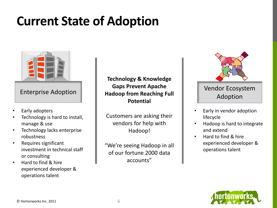### **Current State of Adoption**



- Early adopters
- Technology is hard to install, manage & use
- Technology lacks enterprise robustness
- Requires significant investment in technical staff or consulting
- Hard to find & hire experienced developer & operations talent

Enterprise Adoption **Hadoop from Reaching Full adoption**<br>Adoption **Technology & Knowledge Gaps Prevent Apache Potential**

> Customers are asking their vendors for help with Hadoop!

"We're seeing Hadoop in all of our fortune 2000 data accounts"



## Vendor Ecosystem

- Early in vendor adoption lifecycle
- Hadoop is hard to integrate and extend
- Hard to find & hire experienced developer & operations talent

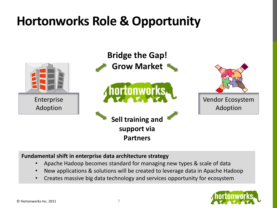## **Hortonworks Role & Opportunity**



#### **Fundamental shift in enterprise data architecture strategy**

- Apache Hadoop becomes standard for managing new types & scale of data
- New applications & solutions will be created to leverage data in Apache Hadoop
- Creates massive big data technology and services opportunity for ecosystem

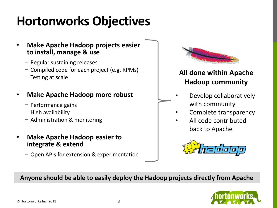## **Hortonworks Objectives**

- **Make Apache Hadoop projects easier to install, manage & use**
	- − Regular sustaining releases
	- − Compiled code for each project (e.g. RPMs)
	- − Testing at scale

#### • **Make Apache Hadoop more robust**

- − Performance gains
- − High availability
- − Administration & monitoring
- **Make Apache Hadoop easier to integrate & extend**
	- − Open APIs for extension & experimentation



### **All done within Apache Hadoop community**

- Develop collaboratively with community
- Complete transparency
- All code contributed back to Apache



#### **Anyone should be able to easily deploy the Hadoop projects directly from Apache**

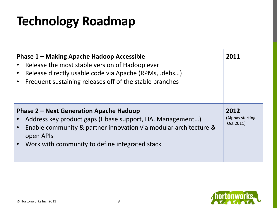## **Technology Roadmap**

| Phase 1 – Making Apache Hadoop Accessible<br>Release the most stable version of Hadoop ever<br>Release directly usable code via Apache (RPMs, .debs)<br>Frequent sustaining releases off of the stable branches                               | 2011                                  |
|-----------------------------------------------------------------------------------------------------------------------------------------------------------------------------------------------------------------------------------------------|---------------------------------------|
| <b>Phase 2 – Next Generation Apache Hadoop</b><br>Address key product gaps (Hbase support, HA, Management)<br>Enable community & partner innovation via modular architecture &<br>open APIs<br>Work with community to define integrated stack | 2012<br>(Alphas starting<br>Oct 2011) |

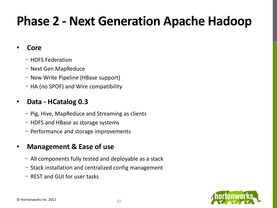## **Phase 2 - Next Generation Apache Hadoop**

#### • **Core**

- − HDFS Federation
- − Next Gen MapReduce
- − New Write Pipeline (HBase support)
- − HA (no SPOF) and Wire compatibility

### • **Data - HCatalog 0.3**

- − Pig, Hive, MapReduce and Streaming as clients
- − HDFS and HBase as storage systems
- − Performance and storage improvements

### • **Management & Ease of use**

- − All components fully tested and deployable as a stack
- − Stack installation and centralized config management
- − REST and GUI for user tasks

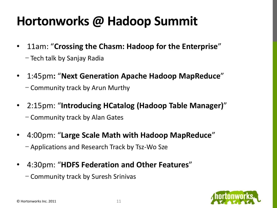## **Hortonworks @ Hadoop Summit**

- 11am: "**Crossing the Chasm: Hadoop for the Enterprise**"
	- − Tech talk by Sanjay Radia
- 1:45pm**:** "**Next Generation Apache Hadoop MapReduce**" − Community track by Arun Murthy
- 2:15pm: "**Introducing HCatalog (Hadoop Table Manager)**" − Community track by Alan Gates
- 4:00pm: "**Large Scale Math with Hadoop MapReduce**" − Applications and Research Track by Tsz-Wo Sze
- 4:30pm: "**HDFS Federation and Other Features**"
	- − Community track by Suresh Srinivas